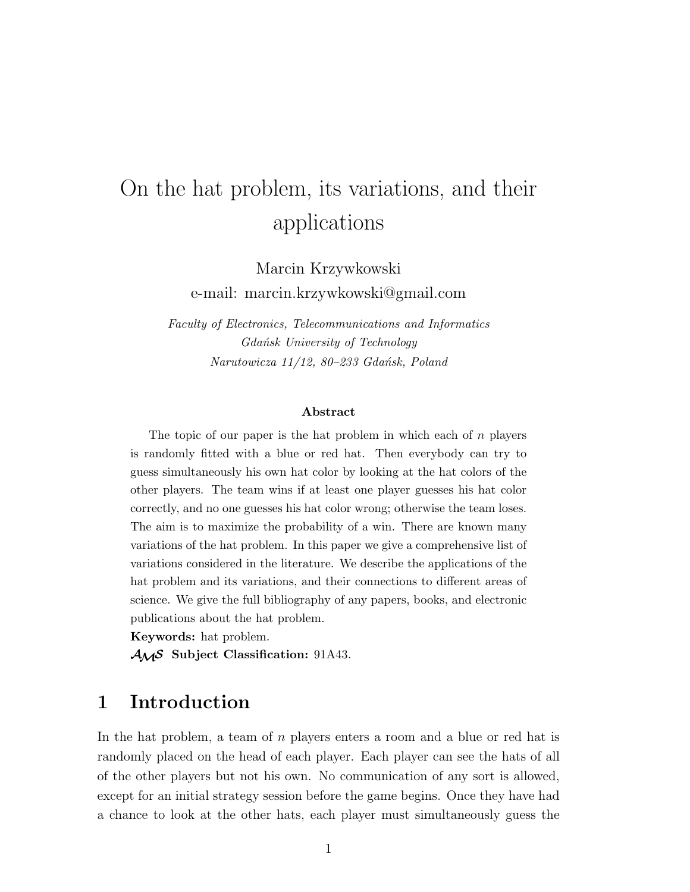# On the hat problem, its variations, and their applications

Marcin Krzywkowski e-mail: marcin.krzywkowski@gmail.com

*Faculty of Electronics, Telecommunications and Informatics Gdańsk University of Technology Narutowicza 11/12, 80–233 Gdańsk, Poland*

#### **Abstract**

The topic of our paper is the hat problem in which each of  $n$  players is randomly fitted with a blue or red hat. Then everybody can try to guess simultaneously his own hat color by looking at the hat colors of the other players. The team wins if at least one player guesses his hat color correctly, and no one guesses his hat color wrong; otherwise the team loses. The aim is to maximize the probability of a win. There are known many variations of the hat problem. In this paper we give a comprehensive list of variations considered in the literature. We describe the applications of the hat problem and its variations, and their connections to different areas of science. We give the full bibliography of any papers, books, and electronic publications about the hat problem.

**Keywords:** hat problem.

AMS **Subject Classification:** 91A43.

### **1 Introduction**

In the hat problem, a team of n players enters a room and a blue or red hat is randomly placed on the head of each player. Each player can see the hats of all of the other players but not his own. No communication of any sort is allowed, except for an initial strategy session before the game begins. Once they have had a chance to look at the other hats, each player must simultaneously guess the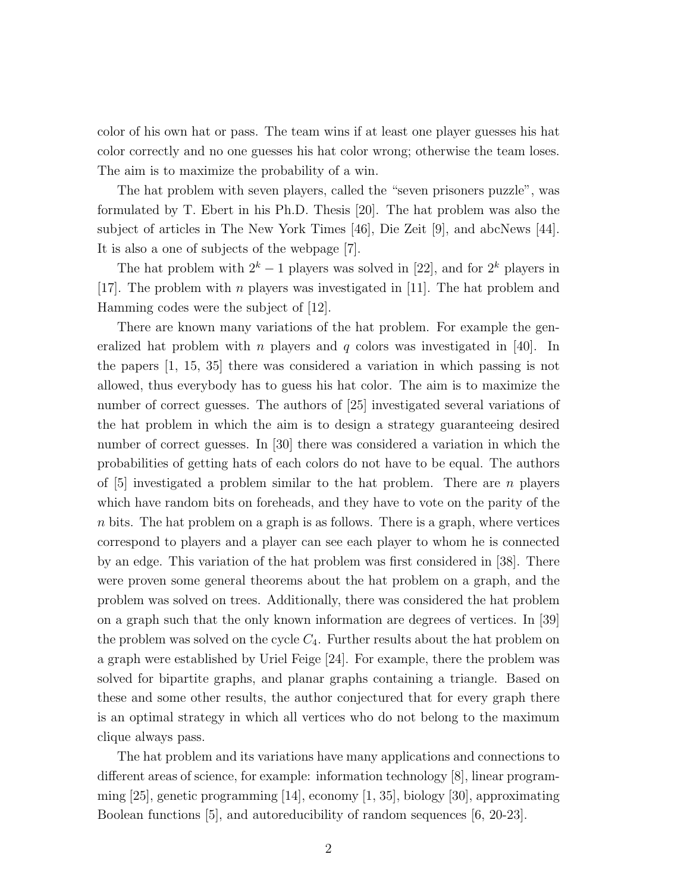color of his own hat or pass. The team wins if at least one player guesses his hat color correctly and no one guesses his hat color wrong; otherwise the team loses. The aim is to maximize the probability of a win.

The hat problem with seven players, called the "seven prisoners puzzle", was formulated by T. Ebert in his Ph.D. Thesis [20]. The hat problem was also the subject of articles in The New York Times [46], Die Zeit [9], and abcNews [44]. It is also a one of subjects of the webpage [7].

The hat problem with  $2^k - 1$  players was solved in [22], and for  $2^k$  players in [17]. The problem with n players was investigated in [11]. The hat problem and Hamming codes were the subject of  $|12|$ .

There are known many variations of the hat problem. For example the generalized hat problem with n players and q colors was investigated in [40]. In the papers [1, 15, 35] there was considered a variation in which passing is not allowed, thus everybody has to guess his hat color. The aim is to maximize the number of correct guesses. The authors of [25] investigated several variations of the hat problem in which the aim is to design a strategy guaranteeing desired number of correct guesses. In [30] there was considered a variation in which the probabilities of getting hats of each colors do not have to be equal. The authors of  $[5]$  investigated a problem similar to the hat problem. There are n players which have random bits on foreheads, and they have to vote on the parity of the n bits. The hat problem on a graph is as follows. There is a graph, where vertices correspond to players and a player can see each player to whom he is connected by an edge. This variation of the hat problem was first considered in [38]. There were proven some general theorems about the hat problem on a graph, and the problem was solved on trees. Additionally, there was considered the hat problem on a graph such that the only known information are degrees of vertices. In [39] the problem was solved on the cycle  $C_4$ . Further results about the hat problem on a graph were established by Uriel Feige [24]. For example, there the problem was solved for bipartite graphs, and planar graphs containing a triangle. Based on these and some other results, the author conjectured that for every graph there is an optimal strategy in which all vertices who do not belong to the maximum clique always pass.

The hat problem and its variations have many applications and connections to different areas of science, for example: information technology [8], linear programming [25], genetic programming [14], economy [1, 35], biology [30], approximating Boolean functions [5], and autoreducibility of random sequences [6, 20-23].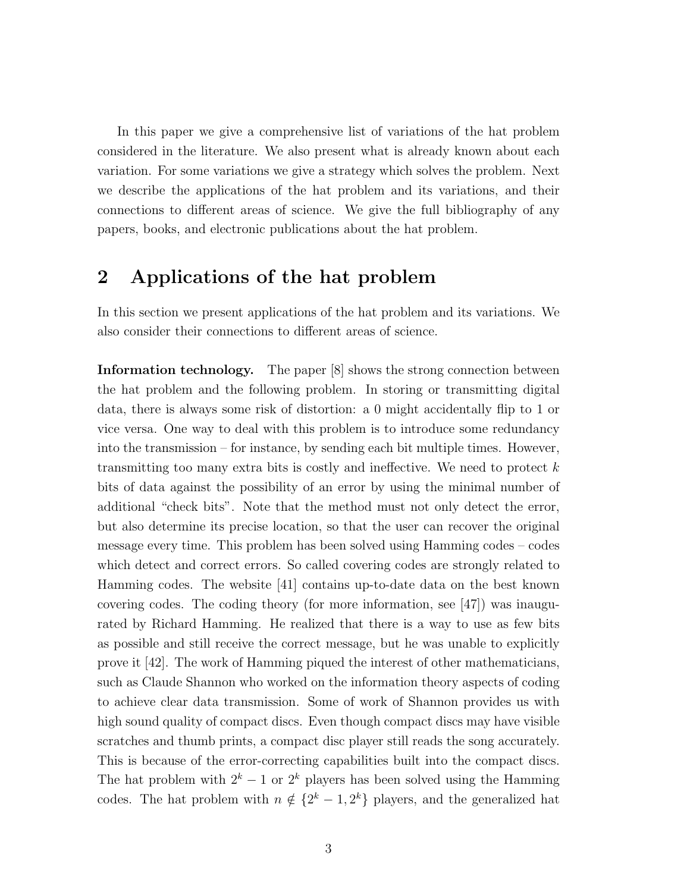In this paper we give a comprehensive list of variations of the hat problem considered in the literature. We also present what is already known about each variation. For some variations we give a strategy which solves the problem. Next we describe the applications of the hat problem and its variations, and their connections to different areas of science. We give the full bibliography of any papers, books, and electronic publications about the hat problem.

### **2 Applications of the hat problem**

In this section we present applications of the hat problem and its variations. We also consider their connections to different areas of science.

**Information technology.** The paper [8] shows the strong connection between the hat problem and the following problem. In storing or transmitting digital data, there is always some risk of distortion: a 0 might accidentally flip to 1 or vice versa. One way to deal with this problem is to introduce some redundancy into the transmission – for instance, by sending each bit multiple times. However, transmitting too many extra bits is costly and ineffective. We need to protect  $k$ bits of data against the possibility of an error by using the minimal number of additional "check bits". Note that the method must not only detect the error, but also determine its precise location, so that the user can recover the original message every time. This problem has been solved using Hamming codes – codes which detect and correct errors. So called covering codes are strongly related to Hamming codes. The website [41] contains up-to-date data on the best known covering codes. The coding theory (for more information, see  $\vert 47 \vert$ ) was inaugurated by Richard Hamming. He realized that there is a way to use as few bits as possible and still receive the correct message, but he was unable to explicitly prove it [42]. The work of Hamming piqued the interest of other mathematicians, such as Claude Shannon who worked on the information theory aspects of coding to achieve clear data transmission. Some of work of Shannon provides us with high sound quality of compact discs. Even though compact discs may have visible scratches and thumb prints, a compact disc player still reads the song accurately. This is because of the error-correcting capabilities built into the compact discs. The hat problem with  $2^k - 1$  or  $2^k$  players has been solved using the Hamming codes. The hat problem with  $n \notin \{2^k - 1, 2^k\}$  players, and the generalized hat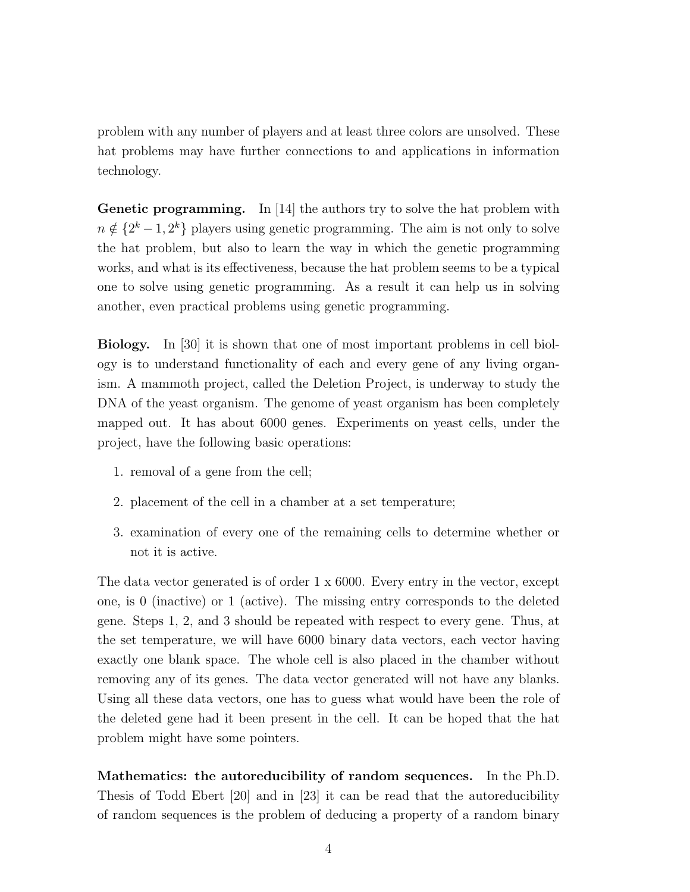problem with any number of players and at least three colors are unsolved. These hat problems may have further connections to and applications in information technology.

**Genetic programming.** In [14] the authors try to solve the hat problem with  $n \notin \{2^k-1, 2^k\}$  players using genetic programming. The aim is not only to solve the hat problem, but also to learn the way in which the genetic programming works, and what is its effectiveness, because the hat problem seems to be a typical one to solve using genetic programming. As a result it can help us in solving another, even practical problems using genetic programming.

**Biology.** In [30] it is shown that one of most important problems in cell biology is to understand functionality of each and every gene of any living organism. A mammoth project, called the Deletion Project, is underway to study the DNA of the yeast organism. The genome of yeast organism has been completely mapped out. It has about 6000 genes. Experiments on yeast cells, under the project, have the following basic operations:

- 1. removal of a gene from the cell;
- 2. placement of the cell in a chamber at a set temperature;
- 3. examination of every one of the remaining cells to determine whether or not it is active.

The data vector generated is of order 1 x 6000. Every entry in the vector, except one, is 0 (inactive) or 1 (active). The missing entry corresponds to the deleted gene. Steps 1, 2, and 3 should be repeated with respect to every gene. Thus, at the set temperature, we will have 6000 binary data vectors, each vector having exactly one blank space. The whole cell is also placed in the chamber without removing any of its genes. The data vector generated will not have any blanks. Using all these data vectors, one has to guess what would have been the role of the deleted gene had it been present in the cell. It can be hoped that the hat problem might have some pointers.

**Mathematics: the autoreducibility of random sequences.** In the Ph.D. Thesis of Todd Ebert [20] and in [23] it can be read that the autoreducibility of random sequences is the problem of deducing a property of a random binary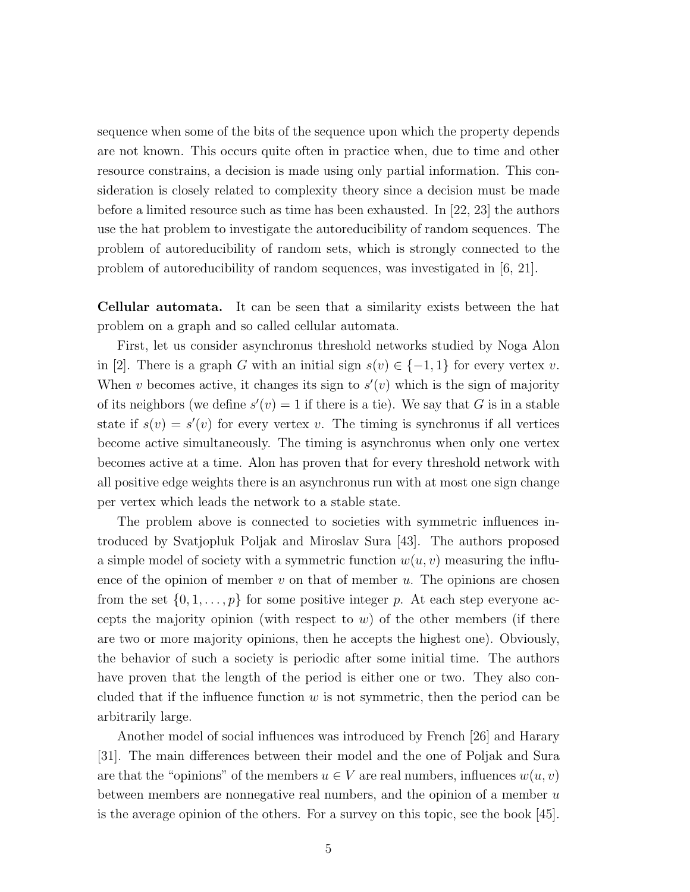sequence when some of the bits of the sequence upon which the property depends are not known. This occurs quite often in practice when, due to time and other resource constrains, a decision is made using only partial information. This consideration is closely related to complexity theory since a decision must be made before a limited resource such as time has been exhausted. In [22, 23] the authors use the hat problem to investigate the autoreducibility of random sequences. The problem of autoreducibility of random sets, which is strongly connected to the problem of autoreducibility of random sequences, was investigated in [6, 21].

**Cellular automata.** It can be seen that a similarity exists between the hat problem on a graph and so called cellular automata.

First, let us consider asynchronus threshold networks studied by Noga Alon in [2]. There is a graph G with an initial sign  $s(v) \in \{-1,1\}$  for every vertex v. When v becomes active, it changes its sign to  $s'(v)$  which is the sign of majority of its neighbors (we define  $s'(v) = 1$  if there is a tie). We say that G is in a stable state if  $s(v) = s'(v)$  for every vertex v. The timing is synchronus if all vertices become active simultaneously. The timing is asynchronus when only one vertex becomes active at a time. Alon has proven that for every threshold network with all positive edge weights there is an asynchronus run with at most one sign change per vertex which leads the network to a stable state.

The problem above is connected to societies with symmetric influences introduced by Svatjopluk Poljak and Miroslav Sura [43]. The authors proposed a simple model of society with a symmetric function  $w(u, v)$  measuring the influence of the opinion of member  $v$  on that of member  $u$ . The opinions are chosen from the set  $\{0, 1, \ldots, p\}$  for some positive integer p. At each step everyone accepts the majority opinion (with respect to  $w$ ) of the other members (if there are two or more majority opinions, then he accepts the highest one). Obviously, the behavior of such a society is periodic after some initial time. The authors have proven that the length of the period is either one or two. They also concluded that if the influence function  $w$  is not symmetric, then the period can be arbitrarily large.

Another model of social influences was introduced by French [26] and Harary [31]. The main differences between their model and the one of Poljak and Sura are that the "opinions" of the members  $u \in V$  are real numbers, influences  $w(u, v)$ between members are nonnegative real numbers, and the opinion of a member  $u$ is the average opinion of the others. For a survey on this topic, see the book [45].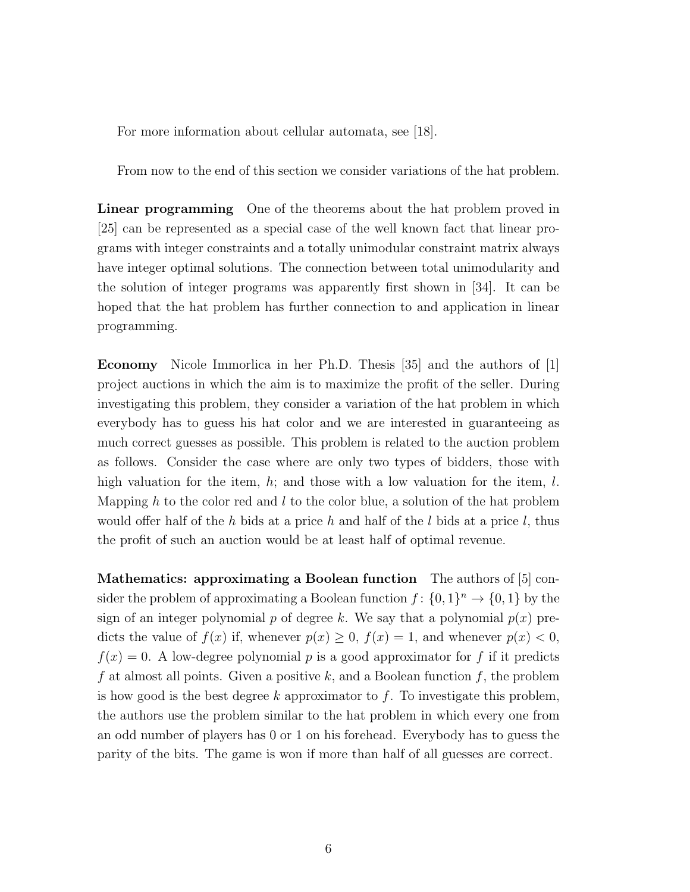For more information about cellular automata, see [18].

From now to the end of this section we consider variations of the hat problem.

**Linear programming** One of the theorems about the hat problem proved in [25] can be represented as a special case of the well known fact that linear programs with integer constraints and a totally unimodular constraint matrix always have integer optimal solutions. The connection between total unimodularity and the solution of integer programs was apparently first shown in [34]. It can be hoped that the hat problem has further connection to and application in linear programming.

**Economy** Nicole Immorlica in her Ph.D. Thesis [35] and the authors of [1] project auctions in which the aim is to maximize the profit of the seller. During investigating this problem, they consider a variation of the hat problem in which everybody has to guess his hat color and we are interested in guaranteeing as much correct guesses as possible. This problem is related to the auction problem as follows. Consider the case where are only two types of bidders, those with high valuation for the item,  $h$ ; and those with a low valuation for the item,  $l$ . Mapping h to the color red and l to the color blue, a solution of the hat problem would offer half of the h bids at a price h and half of the l bids at a price l, thus the profit of such an auction would be at least half of optimal revenue.

**Mathematics: approximating a Boolean function** The authors of [5] consider the problem of approximating a Boolean function  $f: \{0,1\}^n \to \{0,1\}$  by the sign of an integer polynomial p of degree k. We say that a polynomial  $p(x)$  predicts the value of  $f(x)$  if, whenever  $p(x) \geq 0$ ,  $f(x) = 1$ , and whenever  $p(x) < 0$ ,  $f(x) = 0$ . A low-degree polynomial p is a good approximator for f if it predicts f at almost all points. Given a positive k, and a Boolean function f, the problem is how good is the best degree k approximator to  $f$ . To investigate this problem, the authors use the problem similar to the hat problem in which every one from an odd number of players has 0 or 1 on his forehead. Everybody has to guess the parity of the bits. The game is won if more than half of all guesses are correct.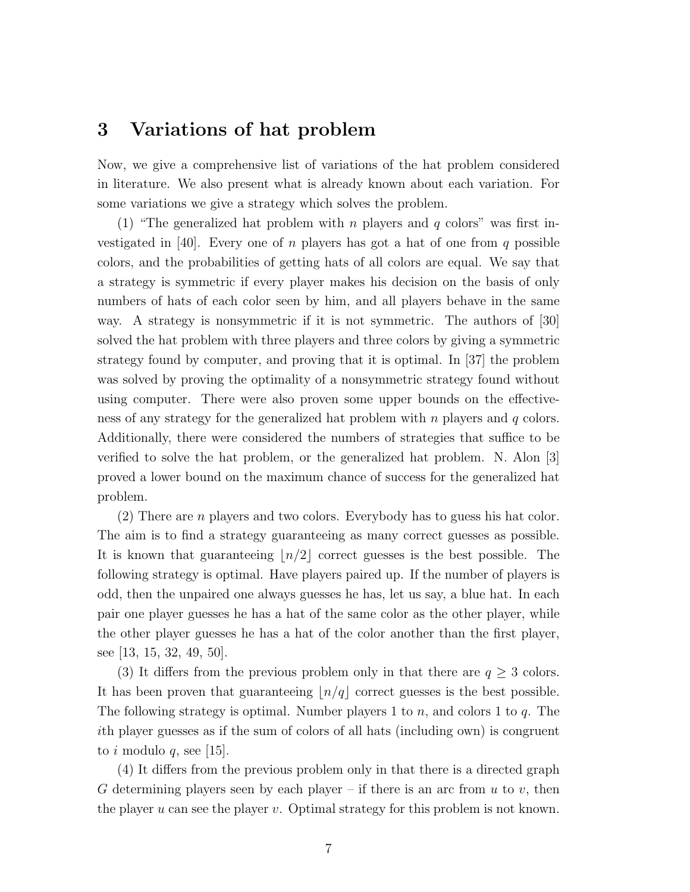#### **3 Variations of hat problem**

Now, we give a comprehensive list of variations of the hat problem considered in literature. We also present what is already known about each variation. For some variations we give a strategy which solves the problem.

(1) "The generalized hat problem with n players and q colors" was first investigated in [40]. Every one of n players has got a hat of one from q possible colors, and the probabilities of getting hats of all colors are equal. We say that a strategy is symmetric if every player makes his decision on the basis of only numbers of hats of each color seen by him, and all players behave in the same way. A strategy is nonsymmetric if it is not symmetric. The authors of [30] solved the hat problem with three players and three colors by giving a symmetric strategy found by computer, and proving that it is optimal. In [37] the problem was solved by proving the optimality of a nonsymmetric strategy found without using computer. There were also proven some upper bounds on the effectiveness of any strategy for the generalized hat problem with  $n$  players and  $q$  colors. Additionally, there were considered the numbers of strategies that suffice to be verified to solve the hat problem, or the generalized hat problem. N. Alon [3] proved a lower bound on the maximum chance of success for the generalized hat problem.

 $(2)$  There are *n* players and two colors. Everybody has to guess his hat color. The aim is to find a strategy guaranteeing as many correct guesses as possible. It is known that guaranteeing  $n/2$  correct guesses is the best possible. The following strategy is optimal. Have players paired up. If the number of players is odd, then the unpaired one always guesses he has, let us say, a blue hat. In each pair one player guesses he has a hat of the same color as the other player, while the other player guesses he has a hat of the color another than the first player, see [13, 15, 32, 49, 50].

(3) It differs from the previous problem only in that there are  $q \geq 3$  colors. It has been proven that guaranteeing  $n/q$  correct guesses is the best possible. The following strategy is optimal. Number players 1 to  $n$ , and colors 1 to  $q$ . The ith player guesses as if the sum of colors of all hats (including own) is congruent to i modulo q, see [15].

(4) It differs from the previous problem only in that there is a directed graph G determining players seen by each player – if there is an arc from  $u$  to  $v$ , then the player  $u$  can see the player  $v$ . Optimal strategy for this problem is not known.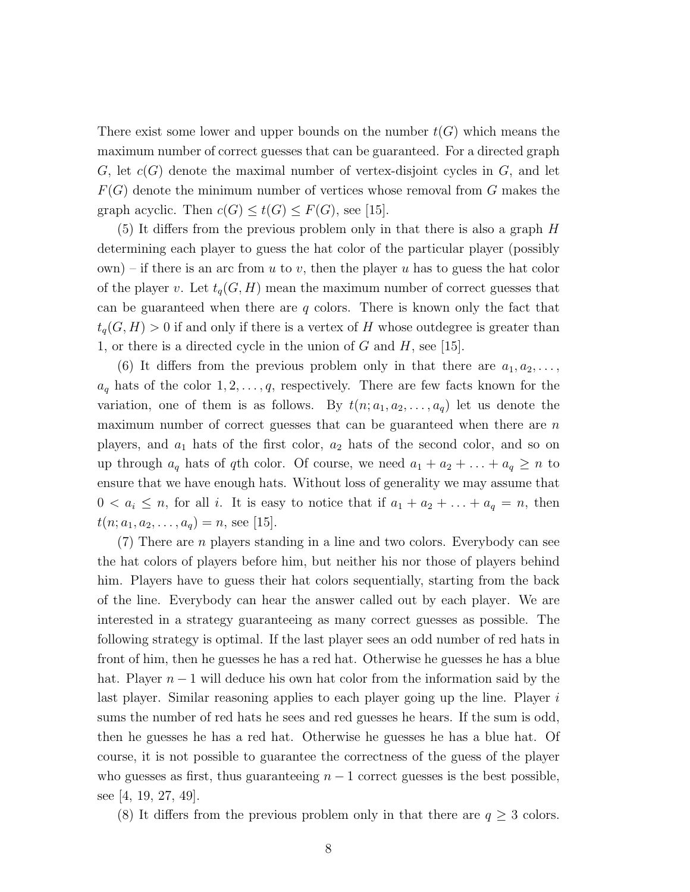There exist some lower and upper bounds on the number  $t(G)$  which means the maximum number of correct guesses that can be guaranteed. For a directed graph  $G$ , let  $c(G)$  denote the maximal number of vertex-disjoint cycles in  $G$ , and let  $F(G)$  denote the minimum number of vertices whose removal from G makes the graph acyclic. Then  $c(G) \leq t(G) \leq F(G)$ , see [15].

(5) It differs from the previous problem only in that there is also a graph H determining each player to guess the hat color of the particular player (possibly  $(\text{own})$  – if there is an arc from u to v, then the player u has to guess the hat color of the player v. Let  $t_q(G, H)$  mean the maximum number of correct guesses that can be guaranteed when there are  $q$  colors. There is known only the fact that  $t_q(G, H) > 0$  if and only if there is a vertex of H whose outdegree is greater than 1, or there is a directed cycle in the union of  $G$  and  $H$ , see [15].

(6) It differs from the previous problem only in that there are  $a_1, a_2, \ldots$ ,  $a_q$  hats of the color  $1, 2, \ldots, q$ , respectively. There are few facts known for the variation, one of them is as follows. By  $t(n; a_1, a_2, \ldots, a_q)$  let us denote the maximum number of correct guesses that can be guaranteed when there are  $n$ players, and  $a_1$  hats of the first color,  $a_2$  hats of the second color, and so on up through  $a_q$  hats of qth color. Of course, we need  $a_1 + a_2 + \ldots + a_q \geq n$  to ensure that we have enough hats. Without loss of generality we may assume that  $0 < a_i \leq n$ , for all *i*. It is easy to notice that if  $a_1 + a_2 + \ldots + a_q = n$ , then  $t(n; a_1, a_2, \ldots, a_q) = n$ , see [15].

 $(7)$  There are *n* players standing in a line and two colors. Everybody can see the hat colors of players before him, but neither his nor those of players behind him. Players have to guess their hat colors sequentially, starting from the back of the line. Everybody can hear the answer called out by each player. We are interested in a strategy guaranteeing as many correct guesses as possible. The following strategy is optimal. If the last player sees an odd number of red hats in front of him, then he guesses he has a red hat. Otherwise he guesses he has a blue hat. Player  $n-1$  will deduce his own hat color from the information said by the last player. Similar reasoning applies to each player going up the line. Player is sums the number of red hats he sees and red guesses he hears. If the sum is odd, then he guesses he has a red hat. Otherwise he guesses he has a blue hat. Of course, it is not possible to guarantee the correctness of the guess of the player who guesses as first, thus guaranteeing  $n - 1$  correct guesses is the best possible, see [4, 19, 27, 49].

(8) It differs from the previous problem only in that there are  $q \geq 3$  colors.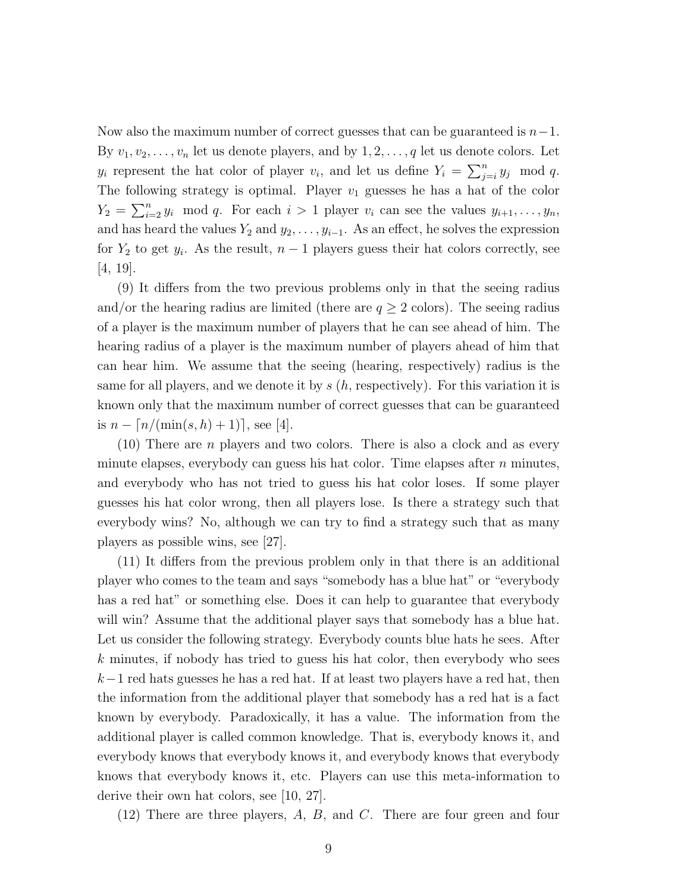Now also the maximum number of correct guesses that can be guaranteed is  $n-1$ . By  $v_1, v_2, \ldots, v_n$  let us denote players, and by  $1, 2, \ldots, q$  let us denote colors. Let  $y_i$  represent the hat color of player  $v_i$ , and let us define  $Y_i = \sum_{j=i}^n y_j \mod q$ . The following strategy is optimal. Player  $v_1$  guesses he has a hat of the color  $Y_2 = \sum_{i=2}^n y_i \mod q$ . For each  $i > 1$  player  $v_i$  can see the values  $y_{i+1}, \ldots, y_n$ , and has heard the values  $Y_2$  and  $y_2, \ldots, y_{i-1}$ . As an effect, he solves the expression for  $Y_2$  to get  $y_i$ . As the result,  $n-1$  players guess their hat colors correctly, see [4, 19].

(9) It differs from the two previous problems only in that the seeing radius and/or the hearing radius are limited (there are  $q \ge 2$  colors). The seeing radius of a player is the maximum number of players that he can see ahead of him. The hearing radius of a player is the maximum number of players ahead of him that can hear him. We assume that the seeing (hearing, respectively) radius is the same for all players, and we denote it by  $s(h, \text{respectively})$ . For this variation it is known only that the maximum number of correct guesses that can be guaranteed is  $n - |n/(min(s, h) + 1)|$ , see [4].

(10) There are n players and two colors. There is also a clock and as every minute elapses, everybody can guess his hat color. Time elapses after  $n$  minutes, and everybody who has not tried to guess his hat color loses. If some player guesses his hat color wrong, then all players lose. Is there a strategy such that everybody wins? No, although we can try to find a strategy such that as many players as possible wins, see [27].

(11) It differs from the previous problem only in that there is an additional player who comes to the team and says "somebody has a blue hat" or "everybody has a red hat" or something else. Does it can help to guarantee that everybody will win? Assume that the additional player says that somebody has a blue hat. Let us consider the following strategy. Everybody counts blue hats he sees. After k minutes, if nobody has tried to guess his hat color, then everybody who sees  $k-1$  red hats guesses he has a red hat. If at least two players have a red hat, then the information from the additional player that somebody has a red hat is a fact known by everybody. Paradoxically, it has a value. The information from the additional player is called common knowledge. That is, everybody knows it, and everybody knows that everybody knows it, and everybody knows that everybody knows that everybody knows it, etc. Players can use this meta-information to derive their own hat colors, see [10, 27].

 $(12)$  There are three players, A, B, and C. There are four green and four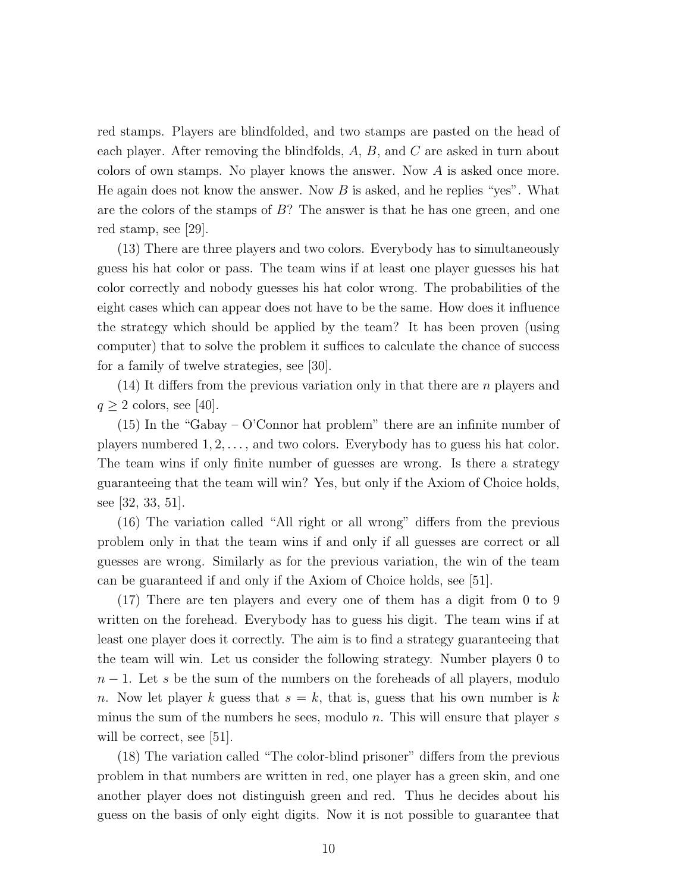red stamps. Players are blindfolded, and two stamps are pasted on the head of each player. After removing the blindfolds, A, B, and C are asked in turn about colors of own stamps. No player knows the answer. Now A is asked once more. He again does not know the answer. Now  $B$  is asked, and he replies "yes". What are the colors of the stamps of B? The answer is that he has one green, and one red stamp, see [29].

(13) There are three players and two colors. Everybody has to simultaneously guess his hat color or pass. The team wins if at least one player guesses his hat color correctly and nobody guesses his hat color wrong. The probabilities of the eight cases which can appear does not have to be the same. How does it influence the strategy which should be applied by the team? It has been proven (using computer) that to solve the problem it suffices to calculate the chance of success for a family of twelve strategies, see [30].

 $(14)$  It differs from the previous variation only in that there are n players and  $q \geq 2$  colors, see [40].

(15) In the "Gabay – O'Connor hat problem" there are an infinite number of players numbered  $1, 2, \ldots$ , and two colors. Everybody has to guess his hat color. The team wins if only finite number of guesses are wrong. Is there a strategy guaranteeing that the team will win? Yes, but only if the Axiom of Choice holds, see [32, 33, 51].

(16) The variation called "All right or all wrong" differs from the previous problem only in that the team wins if and only if all guesses are correct or all guesses are wrong. Similarly as for the previous variation, the win of the team can be guaranteed if and only if the Axiom of Choice holds, see [51].

(17) There are ten players and every one of them has a digit from 0 to 9 written on the forehead. Everybody has to guess his digit. The team wins if at least one player does it correctly. The aim is to find a strategy guaranteeing that the team will win. Let us consider the following strategy. Number players 0 to  $n-1$ . Let s be the sum of the numbers on the foreheads of all players, modulo n. Now let player k guess that  $s = k$ , that is, guess that his own number is k minus the sum of the numbers he sees, modulo  $n$ . This will ensure that player  $s$ will be correct, see [51].

(18) The variation called "The color-blind prisoner" differs from the previous problem in that numbers are written in red, one player has a green skin, and one another player does not distinguish green and red. Thus he decides about his guess on the basis of only eight digits. Now it is not possible to guarantee that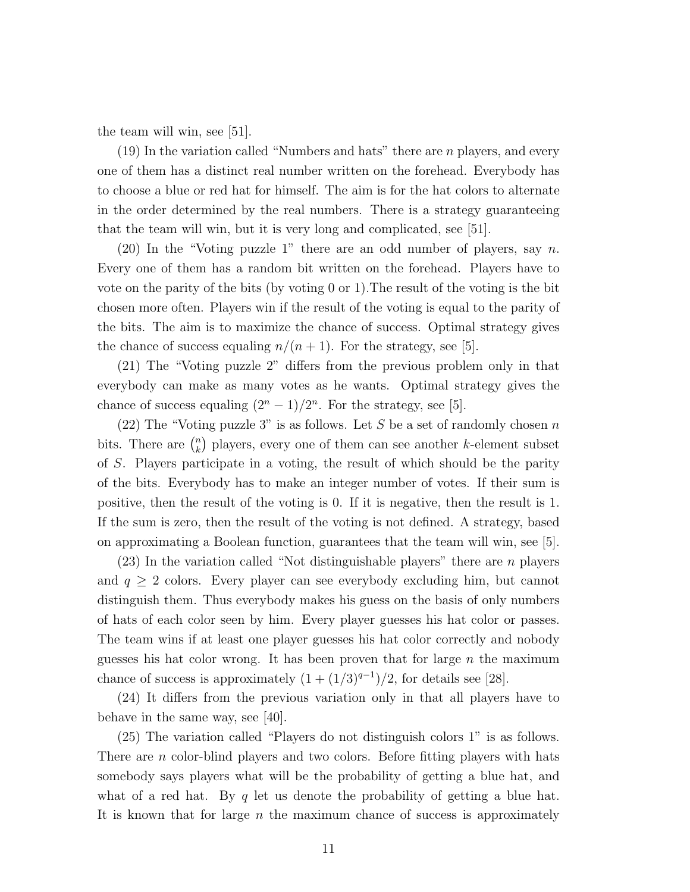the team will win, see [51].

(19) In the variation called "Numbers and hats" there are n players, and every one of them has a distinct real number written on the forehead. Everybody has to choose a blue or red hat for himself. The aim is for the hat colors to alternate in the order determined by the real numbers. There is a strategy guaranteeing that the team will win, but it is very long and complicated, see [51].

(20) In the "Voting puzzle 1" there are an odd number of players, say n. Every one of them has a random bit written on the forehead. Players have to vote on the parity of the bits (by voting 0 or 1).The result of the voting is the bit chosen more often. Players win if the result of the voting is equal to the parity of the bits. The aim is to maximize the chance of success. Optimal strategy gives the chance of success equaling  $n/(n+1)$ . For the strategy, see [5].

(21) The "Voting puzzle 2" differs from the previous problem only in that everybody can make as many votes as he wants. Optimal strategy gives the chance of success equaling  $(2^{n} - 1)/2^{n}$ . For the strategy, see [5].

(22) The "Voting puzzle 3" is as follows. Let S be a set of randomly chosen n bits. There are  $\binom{n}{k}$  $\binom{n}{k}$  players, every one of them can see another k-element subset of S. Players participate in a voting, the result of which should be the parity of the bits. Everybody has to make an integer number of votes. If their sum is positive, then the result of the voting is 0. If it is negative, then the result is 1. If the sum is zero, then the result of the voting is not defined. A strategy, based on approximating a Boolean function, guarantees that the team will win, see [5].

 $(23)$  In the variation called "Not distinguishable players" there are *n* players and  $q \geq 2$  colors. Every player can see everybody excluding him, but cannot distinguish them. Thus everybody makes his guess on the basis of only numbers of hats of each color seen by him. Every player guesses his hat color or passes. The team wins if at least one player guesses his hat color correctly and nobody guesses his hat color wrong. It has been proven that for large  $n$  the maximum chance of success is approximately  $(1 + (1/3)^{q-1})/2$ , for details see [28].

(24) It differs from the previous variation only in that all players have to behave in the same way, see [40].

(25) The variation called "Players do not distinguish colors 1" is as follows. There are *n* color-blind players and two colors. Before fitting players with hats somebody says players what will be the probability of getting a blue hat, and what of a red hat. By q let us denote the probability of getting a blue hat. It is known that for large  $n$  the maximum chance of success is approximately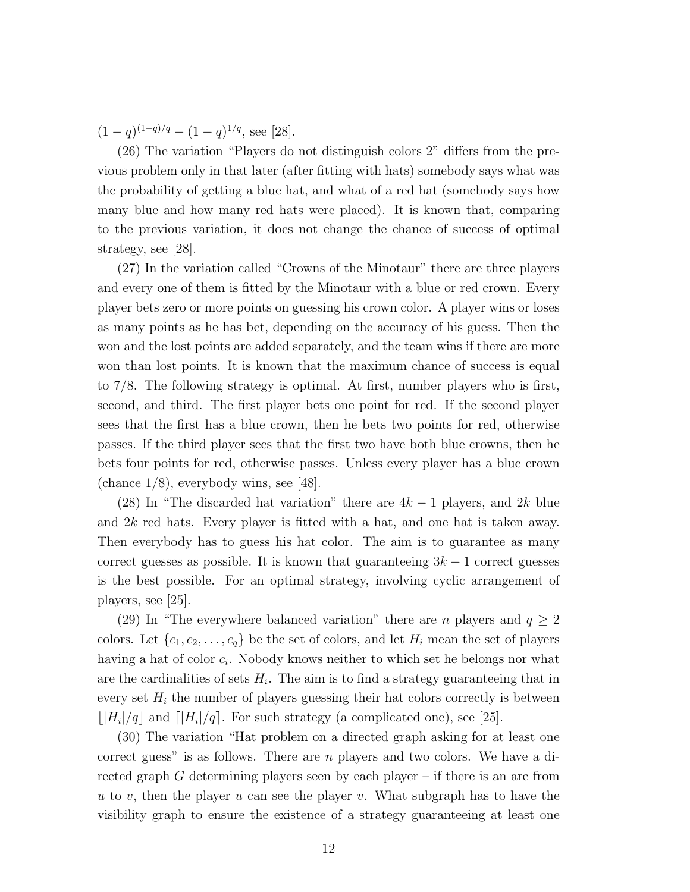$(1-q)^{(1-q)/q} - (1-q)^{1/q}$ , see [28].

(26) The variation "Players do not distinguish colors 2" differs from the previous problem only in that later (after fitting with hats) somebody says what was the probability of getting a blue hat, and what of a red hat (somebody says how many blue and how many red hats were placed). It is known that, comparing to the previous variation, it does not change the chance of success of optimal strategy, see [28].

(27) In the variation called "Crowns of the Minotaur" there are three players and every one of them is fitted by the Minotaur with a blue or red crown. Every player bets zero or more points on guessing his crown color. A player wins or loses as many points as he has bet, depending on the accuracy of his guess. Then the won and the lost points are added separately, and the team wins if there are more won than lost points. It is known that the maximum chance of success is equal to 7/8. The following strategy is optimal. At first, number players who is first, second, and third. The first player bets one point for red. If the second player sees that the first has a blue crown, then he bets two points for red, otherwise passes. If the third player sees that the first two have both blue crowns, then he bets four points for red, otherwise passes. Unless every player has a blue crown (chance  $1/8$ ), everybody wins, see [48].

(28) In "The discarded hat variation" there are  $4k-1$  players, and 2k blue and 2k red hats. Every player is fitted with a hat, and one hat is taken away. Then everybody has to guess his hat color. The aim is to guarantee as many correct guesses as possible. It is known that guaranteeing  $3k - 1$  correct guesses is the best possible. For an optimal strategy, involving cyclic arrangement of players, see [25].

(29) In "The everywhere balanced variation" there are *n* players and  $q \ge 2$ colors. Let  $\{c_1, c_2, \ldots, c_q\}$  be the set of colors, and let  $H_i$  mean the set of players having a hat of color  $c_i$ . Nobody knows neither to which set he belongs nor what are the cardinalities of sets  $H_i$ . The aim is to find a strategy guaranteeing that in every set  $H_i$  the number of players guessing their hat colors correctly is between  $\lfloor |H_i|/q \rfloor$  and  $\lfloor |H_i|/q \rfloor$ . For such strategy (a complicated one), see [25].

(30) The variation "Hat problem on a directed graph asking for at least one correct guess" is as follows. There are n players and two colors. We have a directed graph  $G$  determining players seen by each player – if there is an arc from u to v, then the player u can see the player v. What subgraph has to have the visibility graph to ensure the existence of a strategy guaranteeing at least one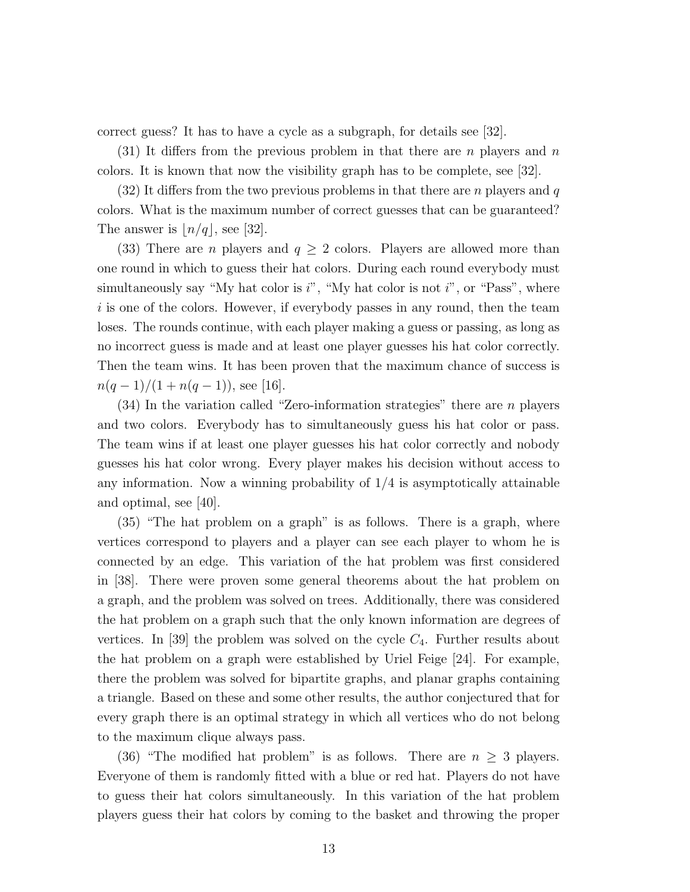correct guess? It has to have a cycle as a subgraph, for details see [32].

 $(31)$  It differs from the previous problem in that there are n players and n colors. It is known that now the visibility graph has to be complete, see [32].

 $(32)$  It differs from the two previous problems in that there are *n* players and q colors. What is the maximum number of correct guesses that can be guaranteed? The answer is  $\lfloor n/q \rfloor$ , see [32].

(33) There are *n* players and  $q \geq 2$  colors. Players are allowed more than one round in which to guess their hat colors. During each round everybody must simultaneously say "My hat color is  $i$ ", "My hat color is not  $i$ ", or "Pass", where i is one of the colors. However, if everybody passes in any round, then the team loses. The rounds continue, with each player making a guess or passing, as long as no incorrect guess is made and at least one player guesses his hat color correctly. Then the team wins. It has been proven that the maximum chance of success is  $n(q-1)/(1+n(q-1)),$  see [16].

 $(34)$  In the variation called "Zero-information strategies" there are *n* players and two colors. Everybody has to simultaneously guess his hat color or pass. The team wins if at least one player guesses his hat color correctly and nobody guesses his hat color wrong. Every player makes his decision without access to any information. Now a winning probability of  $1/4$  is asymptotically attainable and optimal, see [40].

(35) "The hat problem on a graph" is as follows. There is a graph, where vertices correspond to players and a player can see each player to whom he is connected by an edge. This variation of the hat problem was first considered in [38]. There were proven some general theorems about the hat problem on a graph, and the problem was solved on trees. Additionally, there was considered the hat problem on a graph such that the only known information are degrees of vertices. In [39] the problem was solved on the cycle  $C_4$ . Further results about the hat problem on a graph were established by Uriel Feige [24]. For example, there the problem was solved for bipartite graphs, and planar graphs containing a triangle. Based on these and some other results, the author conjectured that for every graph there is an optimal strategy in which all vertices who do not belong to the maximum clique always pass.

(36) "The modified hat problem" is as follows. There are  $n \geq 3$  players. Everyone of them is randomly fitted with a blue or red hat. Players do not have to guess their hat colors simultaneously. In this variation of the hat problem players guess their hat colors by coming to the basket and throwing the proper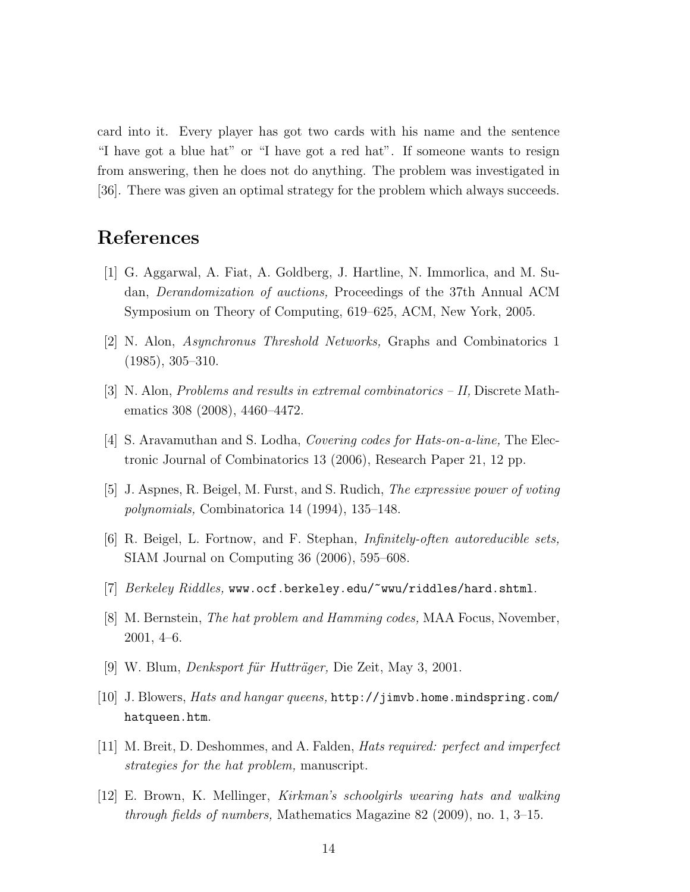card into it. Every player has got two cards with his name and the sentence "I have got a blue hat" or "I have got a red hat". If someone wants to resign from answering, then he does not do anything. The problem was investigated in [36]. There was given an optimal strategy for the problem which always succeeds.

## **References**

- [1] G. Aggarwal, A. Fiat, A. Goldberg, J. Hartline, N. Immorlica, and M. Sudan, *Derandomization of auctions,* Proceedings of the 37th Annual ACM Symposium on Theory of Computing, 619–625, ACM, New York, 2005.
- [2] N. Alon, *Asynchronus Threshold Networks,* Graphs and Combinatorics 1 (1985), 305–310.
- [3] N. Alon, *Problems and results in extremal combinatorics II,* Discrete Mathematics 308 (2008), 4460–4472.
- [4] S. Aravamuthan and S. Lodha, *Covering codes for Hats-on-a-line,* The Electronic Journal of Combinatorics 13 (2006), Research Paper 21, 12 pp.
- [5] J. Aspnes, R. Beigel, M. Furst, and S. Rudich, *The expressive power of voting polynomials,* Combinatorica 14 (1994), 135–148.
- [6] R. Beigel, L. Fortnow, and F. Stephan, *Infinitely-often autoreducible sets,* SIAM Journal on Computing 36 (2006), 595–608.
- [7] *Berkeley Riddles,* www.ocf.berkeley.edu/~wwu/riddles/hard.shtml.
- [8] M. Bernstein, *The hat problem and Hamming codes,* MAA Focus, November, 2001, 4–6.
- [9] W. Blum, *Denksport f¨ur Huttr¨ager,* Die Zeit, May 3, 2001.
- [10] J. Blowers, *Hats and hangar queens,* http://jimvb.home.mindspring.com/ hatqueen.htm.
- [11] M. Breit, D. Deshommes, and A. Falden, *Hats required: perfect and imperfect strategies for the hat problem,* manuscript.
- [12] E. Brown, K. Mellinger, *Kirkman's schoolgirls wearing hats and walking through fields of numbers,* Mathematics Magazine 82 (2009), no. 1, 3–15.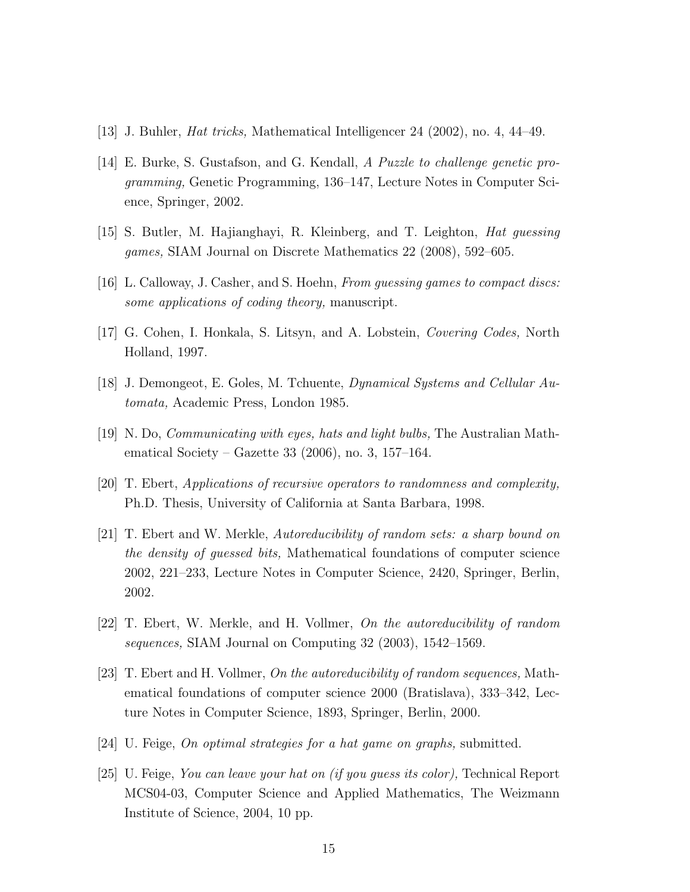- [13] J. Buhler, *Hat tricks,* Mathematical Intelligencer 24 (2002), no. 4, 44–49.
- [14] E. Burke, S. Gustafson, and G. Kendall, *A Puzzle to challenge genetic programming,* Genetic Programming, 136–147, Lecture Notes in Computer Science, Springer, 2002.
- [15] S. Butler, M. Hajianghayi, R. Kleinberg, and T. Leighton, *Hat guessing games,* SIAM Journal on Discrete Mathematics 22 (2008), 592–605.
- [16] L. Calloway, J. Casher, and S. Hoehn, *From guessing games to compact discs: some applications of coding theory,* manuscript.
- [17] G. Cohen, I. Honkala, S. Litsyn, and A. Lobstein, *Covering Codes,* North Holland, 1997.
- [18] J. Demongeot, E. Goles, M. Tchuente, *Dynamical Systems and Cellular Automata,* Academic Press, London 1985.
- [19] N. Do, *Communicating with eyes, hats and light bulbs,* The Australian Mathematical Society – Gazette 33 (2006), no. 3, 157–164.
- [20] T. Ebert, *Applications of recursive operators to randomness and complexity,* Ph.D. Thesis, University of California at Santa Barbara, 1998.
- [21] T. Ebert and W. Merkle, *Autoreducibility of random sets: a sharp bound on the density of guessed bits,* Mathematical foundations of computer science 2002, 221–233, Lecture Notes in Computer Science, 2420, Springer, Berlin, 2002.
- [22] T. Ebert, W. Merkle, and H. Vollmer, *On the autoreducibility of random sequences,* SIAM Journal on Computing 32 (2003), 1542–1569.
- [23] T. Ebert and H. Vollmer, *On the autoreducibility of random sequences,* Mathematical foundations of computer science 2000 (Bratislava), 333–342, Lecture Notes in Computer Science, 1893, Springer, Berlin, 2000.
- [24] U. Feige, *On optimal strategies for a hat game on graphs,* submitted.
- [25] U. Feige, *You can leave your hat on (if you guess its color),* Technical Report MCS04-03, Computer Science and Applied Mathematics, The Weizmann Institute of Science, 2004, 10 pp.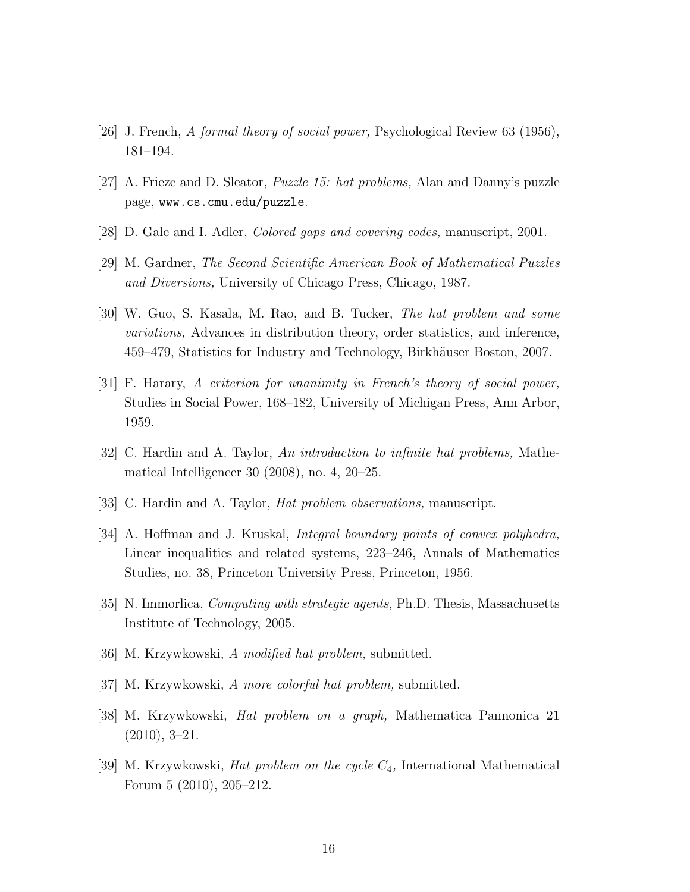- [26] J. French, *A formal theory of social power,* Psychological Review 63 (1956), 181–194.
- [27] A. Frieze and D. Sleator, *Puzzle 15: hat problems,* Alan and Danny's puzzle page, www.cs.cmu.edu/puzzle.
- [28] D. Gale and I. Adler, *Colored gaps and covering codes,* manuscript, 2001.
- [29] M. Gardner, *The Second Scientific American Book of Mathematical Puzzles and Diversions,* University of Chicago Press, Chicago, 1987.
- [30] W. Guo, S. Kasala, M. Rao, and B. Tucker, *The hat problem and some variations,* Advances in distribution theory, order statistics, and inference, 459–479, Statistics for Industry and Technology, Birkhäuser Boston, 2007.
- [31] F. Harary, *A criterion for unanimity in French's theory of social power,* Studies in Social Power, 168–182, University of Michigan Press, Ann Arbor, 1959.
- [32] C. Hardin and A. Taylor, *An introduction to infinite hat problems,* Mathematical Intelligencer 30 (2008), no. 4, 20–25.
- [33] C. Hardin and A. Taylor, *Hat problem observations,* manuscript.
- [34] A. Hoffman and J. Kruskal, *Integral boundary points of convex polyhedra,* Linear inequalities and related systems, 223–246, Annals of Mathematics Studies, no. 38, Princeton University Press, Princeton, 1956.
- [35] N. Immorlica, *Computing with strategic agents,* Ph.D. Thesis, Massachusetts Institute of Technology, 2005.
- [36] M. Krzywkowski, *A modified hat problem,* submitted.
- [37] M. Krzywkowski, *A more colorful hat problem,* submitted.
- [38] M. Krzywkowski, *Hat problem on a graph,* Mathematica Pannonica 21 (2010), 3–21.
- [39] M. Krzywkowski, *Hat problem on the cycle* C4*,* International Mathematical Forum 5 (2010), 205–212.